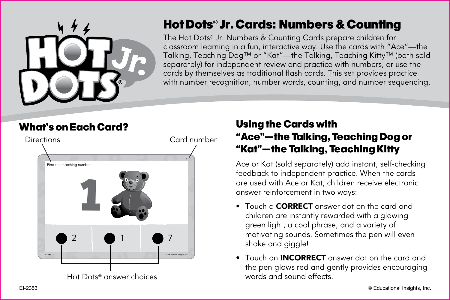

# Hot Dots**®** Jr.Cards: Numbers & Counting

The Hot Dots® Jr. Numbers & Counting Cards prepare children for classroom learning in a fun, interactive way. Use the cards with "Ace"—the Talking, Teaching Dog™ or "Kat"—the Talking, Teaching Kitty™ (both sold separately) for independent review and practice with numbers, or use the cards by themselves as traditional flash cards. This set provides practice with number recognition, number words, counting, and number sequencing.



## Using the Cards with "Ace"—the Talking, Teaching Dog or "Kat"—the Talking, Teaching Kitty

Ace or Kat (sold separately) add instant, self-checking feedback to independent practice. When the cards are used with Ace or Kat, children receive electronic answer reinforcement in two ways:

- Touch a **CORRECT** answer dot on the card and children are instantly rewarded with a glowing green light, a cool phrase, and a variety of motivating sounds. Sometimes the pen will even shake and giggle!
- Touch an **INCORRECT** answer dot on the card and the pen glows red and gently provides encouraging words and sound effects.

EI-2353 © Educational Insights, Inc.